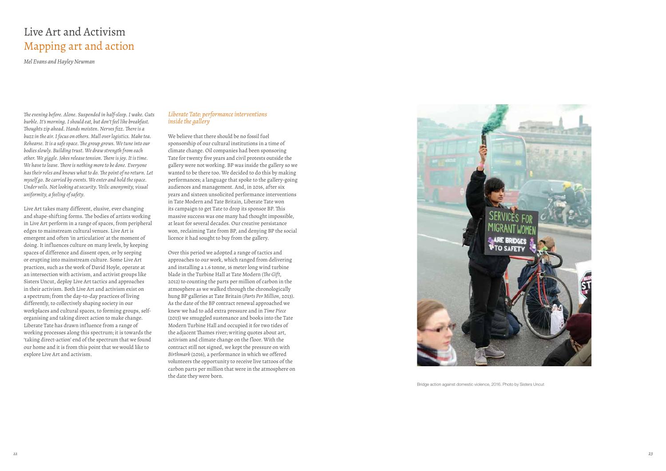

Bridge action against domestic violence, 2016. Photo by Sisters Uncut

# Live Art and Activism Mapping art and action

*Mel Evans and Hayley Newman*

*The evening before. Alone. Suspended in half-sleep. I wake. Guts burble. It's morning. I should eat, but don't feel like breakfast. Thoughts zip ahead. Hands moisten. Nerves fizz. There is a buzz in the air. I focus on others. Mull over logistics. Make tea. Rehearse. It is a safe space. The group grows. We tune into our bodies slowly. Building trust. We draw strength from each other. We giggle. Jokes release tension. There is joy. It is time.* We have to leave. There is nothing more to be done. Everyone has their roles and knows what to do. The point of no return. Let *myself go. Be carried by events. We enter and hold the space. Under veils. Not looking at security. Veils: anonymity, visual uniformity, a feeling of safety.*

Live Art takes many different, elusive, ever changing and shape-shifting forms. The bodies of artists working in Live Art perform in a range of spaces, from peripheral edges to mainstream cultural venues. Live Art is emergent and often 'in articulation' at the moment of doing. It influences culture on many levels, by keeping spaces of difference and dissent open, or by seeping or erupting into mainstream culture. Some Live Art practices, such as the work of David Hoyle, operate at an intersection with activism, and activist groups like Sisters Uncut, deploy Live Art tactics and approaches in their activism. Both Live Art and activism exist on a spectrum; from the day-to-day practices of living differently, to collectively shaping society in our workplaces and cultural spaces, to forming groups, selforganising and taking direct action to make change. Liberate Tate has drawn influence from a range of working processes along this spectrum; it is towards the 'taking direct-action' end of the spectrum that we found our home and it is from this point that we would like to explore Live Art and activism.

# *Liberate Tate: performance interventions inside the gallery*

We believe that there should be no fossil fuel sponsorship of our cultural institutions in a time of climate change. Oil companies had been sponsoring Tate for twenty fve years and civil protests outside the gallery were not working. BP was inside the gallery so we wanted to be there too. We decided to do this by making performances; a language that spoke to the gallery-going audiences and management. And, in 2016, after six years and sixteen unsolicited performance interventions in Tate Modern and Tate Britain, Liberate Tate won its campaign to get Tate to drop its sponsor BP. This massive success was one many had thought impossible, at least for several decades. Our creative persistance won, reclaiming Tate from BP, and denying BP the social licence it had sought to buy from the gallery.

Over this period we adopted a range of tactics and approaches to our work, which ranged from delivering and installing a 1.6 tonne, 16 meter long wind turbine blade in the Turbine Hall at Tate Modern (*The Gift*, 2012) to counting the parts per million of carbon in the atmosphere as we walked through the chronologically hung BP galleries at Tate Britain (*Parts Per Million*, 2013). As the date of the BP contract renewal approached we knew we had to add extra pressure and in *Time Piece* (2015) we smuggled sustenance and books into the Tate Modern Turbine Hall and occupied it for two tides of the adjacent Thames river; writing quotes about art, activism and climate change on the floor. With the contract still not signed, we kept the pressure on with *Birthmark* (2016), a performance in which we offered volunteers the opportunity to receive live tattoos of the carbon parts per million that were in the atmosphere on the date they were born.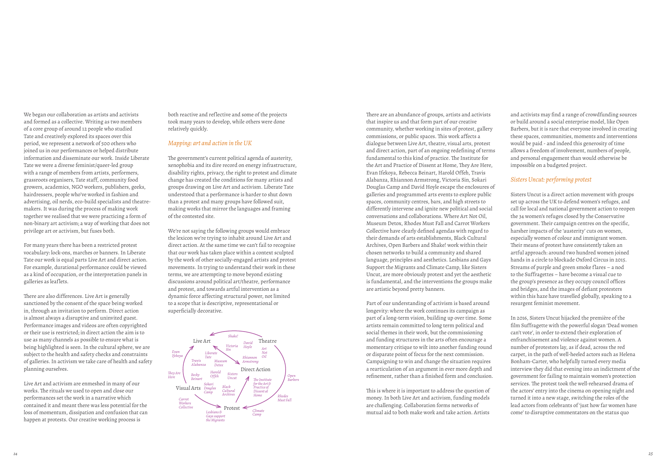There are an abundance of groups, artists and activists that inspire us and that form part of our creative community, whether working in sites of protest, gallery commissions, or public spaces. This work affects a dialogue between Live Art, theatre, visual arts, protest and direct action, part of an ongoing redefning of terms fundamental to this kind of practice. The Institute for the Art and Practice of Dissent at Home, They Are Here, Evan Ifekoya, Rebecca Beinart, Harold Offeh, Travis Alabanza, Rhiannon Armstrong, Victoria Sin, Sokari Douglas Camp and David Hoyle escape the enclosures of galleries and programmed arts events to explore public spaces, community centres, bars, and high streets to differently intervene and ignite new political and social conversations and collaborations. Where Art Not Oil, Museum Detox, Rhodes Must Fall and Carrot Workers Collective have clearly defned agendas with regard to their demands of arts establishments, Black Cultural Archives, Open Barbers and Shake! work within their chosen networks to build a community and shared language, principles and aesthetics. Lesbians and Gays Support the Migrants and Climate Camp, like Sisters Uncut, are more obviously protest and yet the aesthetic is fundamental, and the interventions the groups make are artistic beyond pretty banners.

This is where it is important to address the question of money. In both Live Art and activism, funding models are challenging. Collaboration forms networks of mutual aid to both make work and take action. Artists

Part of our understanding of activism is based around longevity: where the work continues its campaign as part of a long-term vision, building up over time. Some artists remain committed to long term political and social themes in their work, but the commissioning and funding structures in the arts often encourage a momentary critique to wilt into another funding round or disparate point of focus for the next commission. Campaigning to win and change the situation requires a rearticulation of an argument in ever more depth and refnement, rather than a fnished form and conclusion.

and activists may fnd a range of crowdfunding sources or build around a social enterprise model, like Open Barbers, but it is rare that everyone involved in creating these spaces, communities, moments and interventions would be paid - and indeed this generosity of time allows a freedom of involvement, numbers of people, and personal engagement than would otherwise be impossible on a budgeted project.

# *Sisters Uncut: performing protest*

There are also differences. Live Art is generally sanctioned by the consent of the space being worked in, through an invitation to perform. Direct action is almost always a disruptive and uninvited guest. Performance images and videos are often copyrighted or their use is restricted; in direct action the aim is to use as many channels as possible to ensure what is being highlighted is seen. In the cultural sphere, we are subject to the health and safety checks and constraints of galleries. In activism we take care of health and safety planning ourselves.

Sisters Uncut is a direct action movement with groups set up across the UK to defend women's refuges, and call for local and national government action to reopen the 34 women's refuges closed by the Conservative government. Their campaign centres on the specific, harsher impacts of the 'austerity' cuts on women, especially women of colour and immigrant women. Their means of protest have consistently taken an artful approach: around two hundred women joined hands in a circle to blockade Oxford Circus in 2015. Streams of purple and green smoke flares - a nod to the Suffragettes – have become a visual cue to the group's presence as they occupy council offices and bridges, and the images of defant protesters within this haze have travelled globally, speaking to a resurgent feminist movement.

The government's current political agenda of austerity, xenophobia and its dire record on energy infrastructure, disability rights, privacy, the right to protest and climate change has created the conditions for many artists and groups drawing on Live Art and activism. Liberate Tate understood that a performance is harder to shut down than a protest and many groups have followed suit, making works that mirror the languages and framing of the contested site.

We're not saying the following groups would embrace the lexicon we're trying to inhabit around Live Art and direct action. At the same time we can't fail to recognise that our work has taken place within a context sculpted by the work of other socially-engaged artists and protest movements. In trying to understand their work in these terms, we are attempting to move beyond existing discussions around political art/theatre, performance and protest, and towards artful intervention as a dynamic force affecting structural power, not limited to a scope that is descriptive, representational or superficially decorative.

> In 2016, Sisters Uncut hijacked the première of the flm Suffragette with the powerful slogan 'Dead women can't vote', in order to extend their exploration of enfranchisement and violence against women. A number of protestors lay, as if dead, across the red carpet, in the path of well-heeled actors such as Helena Bonham-Carter, who helpfully turned every media interview they did that evening into an indictment of the government for failing to maintain women's protection services. The protest took the well-rehearsed drama of the actors' entry into the cinema on opening night and turned it into a new stage, switching the roles of the lead actors from celebrants of 'just how far women have come' to disruptive commentators on the status quo

We began our collaboration as artists and activists and formed as a collective. Writing as two members of a core group of around 12 people who studied Tate and creatively explored its spaces over this period, we represent a network of 500 others who joined us in our performances or helped distribute information and disseminate our work. Inside Liberate Tate we were a diverse feminist/queer-led group with a range of members from artists, performers, grassroots organisers, Tate staff, community food growers, academics, NGO workers, publishers, geeks, hairdressers, people who've worked in fashion and advertising, oil nerds, eco-build specialists and theatremakers. It was during the process of making work together we realised that we were practicing a form of non-binary art activism; a way of working that does not privilege art or activism, but fuses both.

For many years there has been a restricted protest vocabulary: lock-ons, marches or banners. In Liberate Tate our work is equal parts Live Art and direct action. For example, durational performance could be viewed as a kind of occupation, or the interpretation panels in galleries as leaf lets.

Live Art and activism are enmeshed in many of our works. The rituals we used to open and close our performances set the work in a narrative which contained it and meant there was less potential for the loss of momentum, dissipation and confusion that can happen at protests. Our creative working process is

both reactive and ref lective and some of the projects took many years to develop, while others were done relatively quickly.

## *Mapping: art and action in the UK*

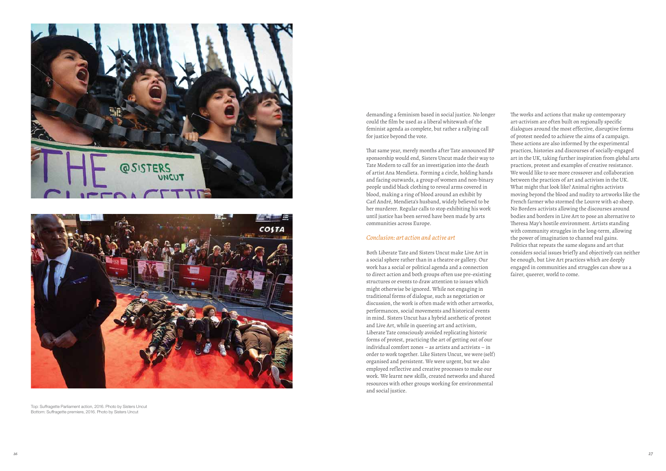demanding a feminism based in social justice. No longer could the flm be used as a liberal whitewash of the feminist agenda as complete, but rather a rallying call for justice beyond the vote.

That same year, merely months after Tate announced BP sponsorship would end, Sisters Uncut made their way to Tate Modern to call for an investigation into the death of artist Ana Mendieta. Forming a circle, holding hands and facing outwards, a group of women and non-binary people undid black clothing to reveal arms covered in blood, making a ring of blood around an exhibit by Carl André, Mendieta's husband, widely believed to be her murderer. Regular calls to stop exhibiting his work until justice has been served have been made by arts communities across Europe.

## *Conclusion: art action and active art*

Both Liberate Tate and Sisters Uncut make Live Art in a social sphere rather than in a theatre or gallery. Our work has a social or political agenda and a connection to direct action and both groups often use pre-existing structures or events to draw attention to issues which might otherwise be ignored. While not engaging in traditional forms of dialogue, such as negotiation or discussion, the work is often made with other artworks, performances, social movements and historical events in mind. Sisters Uncut has a hybrid aesthetic of protest and Live Art, while in queering art and activism, Liberate Tate consciously avoided replicating historic forms of protest, practicing the art of getting out of our individual comfort zones – as artists and activists – in order to work together. Like Sisters Uncut, we were (self) organised and persistent. We were urgent, but we also employed ref lective and creative processes to make our work. We learnt new skills, created networks and shared resources with other groups working for environmental and social justice.

The works and actions that make up contemporary art-activism are often built on regionally specifc dialogues around the most effective, disruptive forms of protest needed to achieve the aims of a campaign. These actions are also informed by the experimental practices, histories and discourses of socially-engaged art in the UK, taking further inspiration from global arts practices, protest and examples of creative resistance. We would like to see more crossover and collaboration between the practices of art and activism in the UK. What might that look like? Animal rights activists moving beyond the blood and nudity to artworks like the French farmer who stormed the Louvre with 40 sheep. No Borders activists allowing the discourses around bodies and borders in Live Art to pose an alternative to Theresa May's hostile environment. Artists standing with community struggles in the long-term, allowing the power of imagination to channel real gains. Politics that repeats the same slogans and art that considers social issues briefly and objectively can neither be enough, but Live Art practices which are deeply engaged in communities and struggles can show us a fairer, queerer, world to come.





Top: Sufragette Parliament action, 2016. Photo by Sisters Uncut Bottom: Sufragette premiere, 2016. Photo by Sisters Uncut